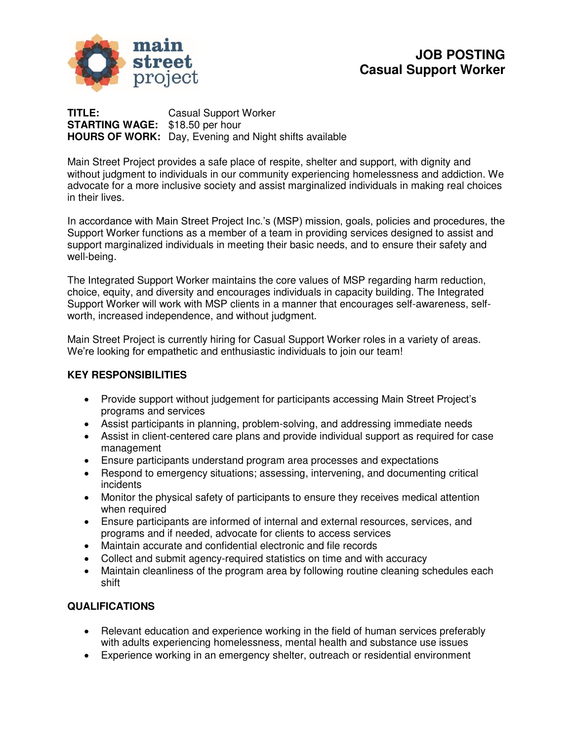

**TITLE:** Casual Support Worker **STARTING WAGE:** \$18.50 per hour **HOURS OF WORK:** Day, Evening and Night shifts available

Main Street Project provides a safe place of respite, shelter and support, with dignity and without judgment to individuals in our community experiencing homelessness and addiction. We advocate for a more inclusive society and assist marginalized individuals in making real choices in their lives.

In accordance with Main Street Project Inc.'s (MSP) mission, goals, policies and procedures, the Support Worker functions as a member of a team in providing services designed to assist and support marginalized individuals in meeting their basic needs, and to ensure their safety and well-being.

The Integrated Support Worker maintains the core values of MSP regarding harm reduction, choice, equity, and diversity and encourages individuals in capacity building. The Integrated Support Worker will work with MSP clients in a manner that encourages self-awareness, selfworth, increased independence, and without judgment.

Main Street Project is currently hiring for Casual Support Worker roles in a variety of areas. We're looking for empathetic and enthusiastic individuals to join our team!

### **KEY RESPONSIBILITIES**

- Provide support without judgement for participants accessing Main Street Project's programs and services
- Assist participants in planning, problem-solving, and addressing immediate needs
- Assist in client-centered care plans and provide individual support as required for case management
- Ensure participants understand program area processes and expectations
- Respond to emergency situations; assessing, intervening, and documenting critical incidents
- Monitor the physical safety of participants to ensure they receives medical attention when required
- Ensure participants are informed of internal and external resources, services, and programs and if needed, advocate for clients to access services
- Maintain accurate and confidential electronic and file records
- Collect and submit agency-required statistics on time and with accuracy
- Maintain cleanliness of the program area by following routine cleaning schedules each shift

## **QUALIFICATIONS**

- Relevant education and experience working in the field of human services preferably with adults experiencing homelessness, mental health and substance use issues
- Experience working in an emergency shelter, outreach or residential environment